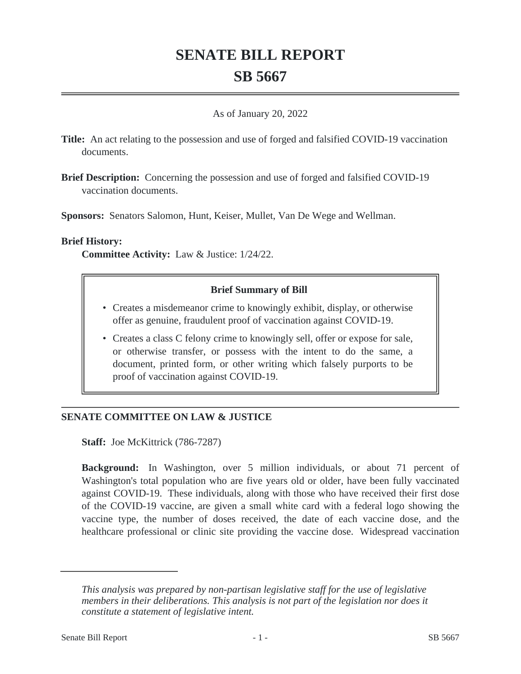# **SENATE BILL REPORT SB 5667**

#### As of January 20, 2022

- **Title:** An act relating to the possession and use of forged and falsified COVID-19 vaccination documents.
- **Brief Description:** Concerning the possession and use of forged and falsified COVID-19 vaccination documents.

**Sponsors:** Senators Salomon, Hunt, Keiser, Mullet, Van De Wege and Wellman.

#### **Brief History:**

**Committee Activity:** Law & Justice: 1/24/22.

## **Brief Summary of Bill**

- Creates a misdemeanor crime to knowingly exhibit, display, or otherwise offer as genuine, fraudulent proof of vaccination against COVID-19.
- Creates a class C felony crime to knowingly sell, offer or expose for sale, or otherwise transfer, or possess with the intent to do the same, a document, printed form, or other writing which falsely purports to be proof of vaccination against COVID-19.

## **SENATE COMMITTEE ON LAW & JUSTICE**

**Staff:** Joe McKittrick (786-7287)

**Background:** In Washington, over 5 million individuals, or about 71 percent of Washington's total population who are five years old or older, have been fully vaccinated against COVID-19. These individuals, along with those who have received their first dose of the COVID-19 vaccine, are given a small white card with a federal logo showing the vaccine type, the number of doses received, the date of each vaccine dose, and the healthcare professional or clinic site providing the vaccine dose. Widespread vaccination

*This analysis was prepared by non-partisan legislative staff for the use of legislative members in their deliberations. This analysis is not part of the legislation nor does it constitute a statement of legislative intent.*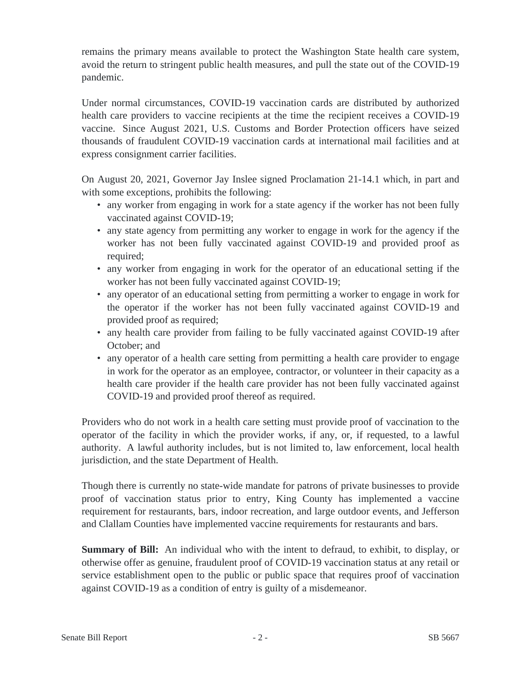remains the primary means available to protect the Washington State health care system, avoid the return to stringent public health measures, and pull the state out of the COVID-19 pandemic.

Under normal circumstances, COVID-19 vaccination cards are distributed by authorized health care providers to vaccine recipients at the time the recipient receives a COVID-19 vaccine. Since August 2021, U.S. Customs and Border Protection officers have seized thousands of fraudulent COVID-19 vaccination cards at international mail facilities and at express consignment carrier facilities.

On August 20, 2021, Governor Jay Inslee signed Proclamation 21-14.1 which, in part and with some exceptions, prohibits the following:

- any worker from engaging in work for a state agency if the worker has not been fully vaccinated against COVID-19;
- any state agency from permitting any worker to engage in work for the agency if the worker has not been fully vaccinated against COVID-19 and provided proof as required;
- any worker from engaging in work for the operator of an educational setting if the worker has not been fully vaccinated against COVID-19;
- any operator of an educational setting from permitting a worker to engage in work for the operator if the worker has not been fully vaccinated against COVID-19 and provided proof as required;
- any health care provider from failing to be fully vaccinated against COVID-19 after October; and
- any operator of a health care setting from permitting a health care provider to engage in work for the operator as an employee, contractor, or volunteer in their capacity as a health care provider if the health care provider has not been fully vaccinated against COVID-19 and provided proof thereof as required.

Providers who do not work in a health care setting must provide proof of vaccination to the operator of the facility in which the provider works, if any, or, if requested, to a lawful authority. A lawful authority includes, but is not limited to, law enforcement, local health jurisdiction, and the state Department of Health.

Though there is currently no state-wide mandate for patrons of private businesses to provide proof of vaccination status prior to entry, King County has implemented a vaccine requirement for restaurants, bars, indoor recreation, and large outdoor events, and Jefferson and Clallam Counties have implemented vaccine requirements for restaurants and bars.

**Summary of Bill:** An individual who with the intent to defraud, to exhibit, to display, or otherwise offer as genuine, fraudulent proof of COVID-19 vaccination status at any retail or service establishment open to the public or public space that requires proof of vaccination against COVID-19 as a condition of entry is guilty of a misdemeanor.